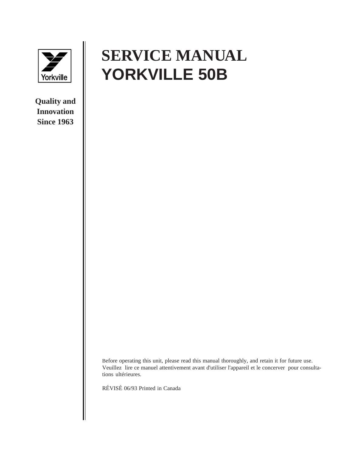

**Quality and Innovation Since 1963**

## **SERVICE MANUAL YORKVILLE 50B**

Before operating this unit, please read this manual thoroughly, and retain it for future use. Veuillez lire ce manuel attentivement avant d'utiliser l'appareil et le concerver pour consultations ultérieures.

RÉVISÉ 06/93 Printed in Canada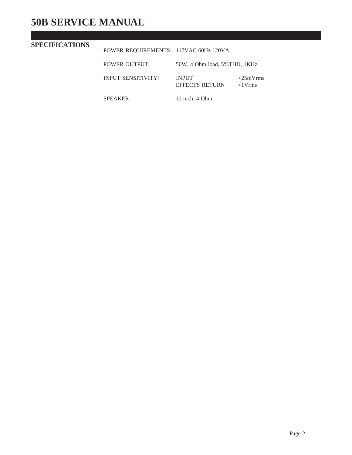## **50B SERVICE MANUAL**

## **SPECIFICATIONS**

POWER REQUIREMENTS: 117VAC 60Hz 120VA

| POWER OUTPUT:             | 50W, 4 Ohm load, 5%THD, 1KHz |                                 |
|---------------------------|------------------------------|---------------------------------|
| <b>INPUT SENSITIVITY:</b> | INPUT<br>EFFECTS RETURN      | $<$ 25mVrms<br>$\langle$ 1 Vrms |

SPEAKER: 10 inch, 4 Ohm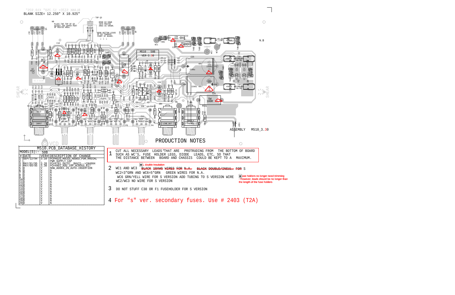

\* Fuse holders no longer need trimming - However, leads should be no longer than the length of the fuse holders